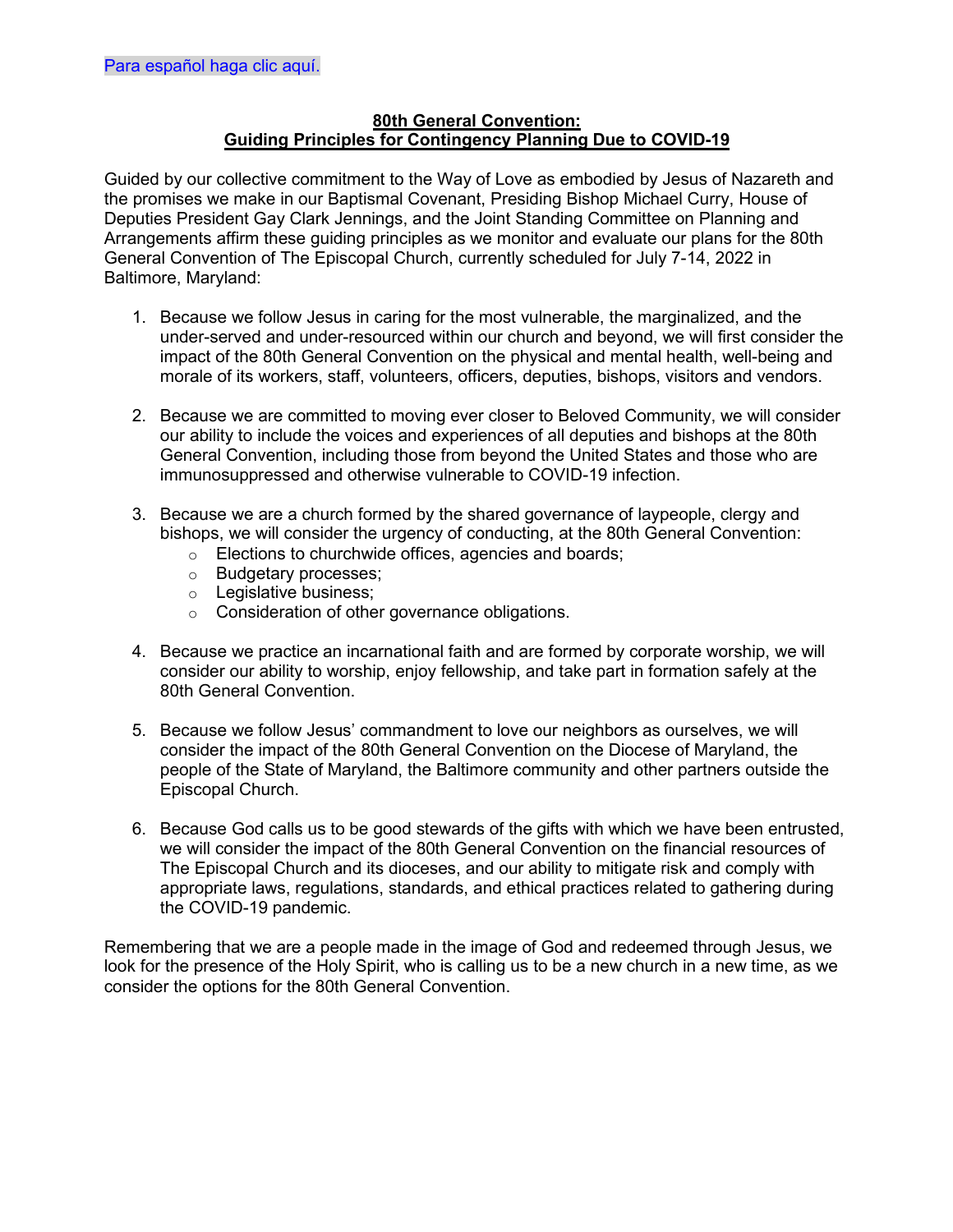## **80th General Convention: Guiding Principles for Contingency Planning Due to COVID-19**

Guided by our collective commitment to the Way of Love as embodied by Jesus of Nazareth and the promises we make in our Baptismal Covenant, Presiding Bishop Michael Curry, House of Deputies President Gay Clark Jennings, and the Joint Standing Committee on Planning and Arrangements affirm these guiding principles as we monitor and evaluate our plans for the 80th General Convention of The Episcopal Church, currently scheduled for July 7-14, 2022 in Baltimore, Maryland:

- 1. Because we follow Jesus in caring for the most vulnerable, the marginalized, and the under-served and under-resourced within our church and beyond, we will first consider the impact of the 80th General Convention on the physical and mental health, well-being and morale of its workers, staff, volunteers, officers, deputies, bishops, visitors and vendors.
- 2. Because we are committed to moving ever closer to Beloved Community, we will consider our ability to include the voices and experiences of all deputies and bishops at the 80th General Convention, including those from beyond the United States and those who are immunosuppressed and otherwise vulnerable to COVID-19 infection.
- 3. Because we are a church formed by the shared governance of laypeople, clergy and bishops, we will consider the urgency of conducting, at the 80th General Convention:
	- o Elections to churchwide offices, agencies and boards;
	- o Budgetary processes;
	- o Legislative business;
	- o Consideration of other governance obligations.
- 4. Because we practice an incarnational faith and are formed by corporate worship, we will consider our ability to worship, enjoy fellowship, and take part in formation safely at the 80th General Convention.
- 5. Because we follow Jesus' commandment to love our neighbors as ourselves, we will consider the impact of the 80th General Convention on the Diocese of Maryland, the people of the State of Maryland, the Baltimore community and other partners outside the Episcopal Church.
- 6. Because God calls us to be good stewards of the gifts with which we have been entrusted, we will consider the impact of the 80th General Convention on the financial resources of The Episcopal Church and its dioceses, and our ability to mitigate risk and comply with appropriate laws, regulations, standards, and ethical practices related to gathering during the COVID-19 pandemic.

Remembering that we are a people made in the image of God and redeemed through Jesus, we look for the presence of the Holy Spirit, who is calling us to be a new church in a new time, as we consider the options for the 80th General Convention.